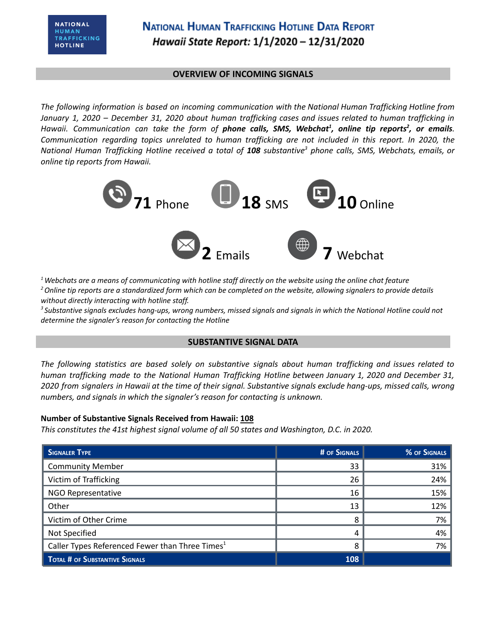### **OVERVIEW OF INCOMING SIGNALS**

*The following information is based on incoming communication with the National Human Trafficking Hotline from* January 1, 2020 - December 31, 2020 about human trafficking cases and issues related to human trafficking in Hawaii. Communication can take the form of **phone calls, SMS, Webchat<sup>1</sup>, online tip reports<sup>2</sup>, or emails.** *Communication regarding topics unrelated to human trafficking are not included in this report. In 2020, the* National Human Trafficking Hotline received a total of 108 substantive<sup>3</sup> phone calls, SMS, Webchats, emails, or *online tip reports from Hawaii.*



 $1$  Webchats are a means of communicating with hotline staff directly on the website using the online chat feature <sup>2</sup> Online tip reports are a standardized form which can be completed on the website, allowing signalers to provide details *without directly interacting with hotline staff.*

<sup>3</sup> Substantive signals excludes hang-ups, wrong numbers, missed signals and signals in which the National Hotline could not *determine the signaler's reason for contacting the Hotline*

### **SUBSTANTIVE SIGNAL DATA**

*The following statistics are based solely on substantive signals about human trafficking and issues related to human trafficking made to the National Human Trafficking Hotline between January 1, 2020 and December 31,* 2020 from signalers in Hawaii at the time of their signal. Substantive signals exclude hang-ups, missed calls, wrong *numbers, and signals in which the signaler's reason for contacting is unknown.*

### **Number of Substantive Signals Received from Hawaii: 108**

*This constitutes the 41st highest signal volume of all 50 states and Washington, D.C. in 2020.*

| SIGNALER TYPE                                               | # OF SIGNALS | % OF SIGNALS |
|-------------------------------------------------------------|--------------|--------------|
| <b>Community Member</b>                                     | 33           | 31%          |
| Victim of Trafficking                                       | 26           | 24%          |
| NGO Representative                                          | 16           | 15%          |
| Other                                                       | 13           | 12%          |
| Victim of Other Crime                                       | 8            | 7%           |
| Not Specified                                               | 4            | 4%           |
| Caller Types Referenced Fewer than Three Times <sup>1</sup> | ጸ            | 7%           |
| <b>TOTAL # OF SUBSTANTIVE SIGNALS</b>                       | 108          |              |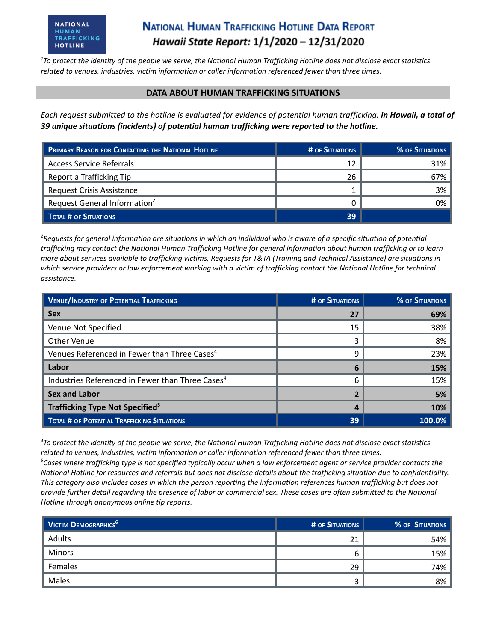# **NATIONAL HUMAN TRAFFICKING HOTLINE DATA REPORT** Hawaii State Report: 1/1/2020 - 12/31/2020

 $1$ To protect the identity of the people we serve, the National Human Trafficking Hotline does not disclose exact statistics *related to venues, industries, victim information or caller information referenced fewer than three times.*

#### **DATA ABOUT HUMAN TRAFFICKING SITUATIONS**

Each request submitted to the hotline is evaluated for evidence of potential human trafficking. In Hawaii, a total of *39 unique situations (incidents) of potential human trafficking were reported to the hotline.*

| PRIMARY REASON FOR CONTACTING THE NATIONAL HOTLINE | # OF SITUATIONS | % OF SITUATIONS |
|----------------------------------------------------|-----------------|-----------------|
| <b>Access Service Referrals</b>                    | 12              | 31%             |
| Report a Trafficking Tip                           | 26              | 67%             |
| <b>Request Crisis Assistance</b>                   |                 | 3%              |
| Request General Information <sup>2</sup>           |                 | 0%              |
| TOTAL # OF SITUATIONS                              | 39              |                 |

<sup>2</sup>Requests for general information are situations in which an individual who is aware of a specific situation of potential trafficking may contact the National Human Trafficking Hotline for general information about human trafficking or to learn more about services available to trafficking victims. Requests for T&TA (Training and Technical Assistance) are situations in which service providers or law enforcement working with a victim of trafficking contact the National Hotline for technical *assistance.*

| <b>VENUE/INDUSTRY OF POTENTIAL TRAFFICKING</b>               | <b># OF SITUATIONS</b> | <b>% OF SITUATIONS</b> |
|--------------------------------------------------------------|------------------------|------------------------|
| <b>Sex</b>                                                   |                        | 69%                    |
| Venue Not Specified                                          | 15                     | 38%                    |
| Other Venue                                                  | 3                      | 8%                     |
| Venues Referenced in Fewer than Three Cases <sup>4</sup>     | 9                      | 23%                    |
| Labor                                                        | 6                      | 15%                    |
| Industries Referenced in Fewer than Three Cases <sup>4</sup> | 6                      | 15%                    |
| <b>Sex and Labor</b>                                         |                        | 5%                     |
| <b>Trafficking Type Not Specified<sup>5</sup></b>            |                        | 10%                    |
| TOTAL # OF POTENTIAL TRAFFICKING SITUATIONS                  | 39                     | $100.0\%$              |

<sup>4</sup>To protect the identity of the people we serve, the National Human Trafficking Hotline does not disclose exact statistics *related to venues, industries, victim information or caller information referenced fewer than three times.*  ${}^5$ Cases where trafficking type is not specified typically occur when a law enforcement agent or service provider contacts the National Hotline for resources and referrals but does not disclose details about the trafficking situation due to confidentiality. This category also includes cases in which the person reporting the information references human trafficking but does not provide further detail regarding the presence of labor or commercial sex. These cases are often submitted to the National *Hotline through anonymous online tip reports.*

| $\parallel$ Victim Demographics <sup>6</sup> | # OF SITUATIONS | % OF SITUATIONS |
|----------------------------------------------|-----------------|-----------------|
| Adults                                       | 21              | 54%             |
| <b>Minors</b>                                | b               | 15%             |
| Females                                      | 29              | 74%             |
| Males                                        |                 | 8%              |